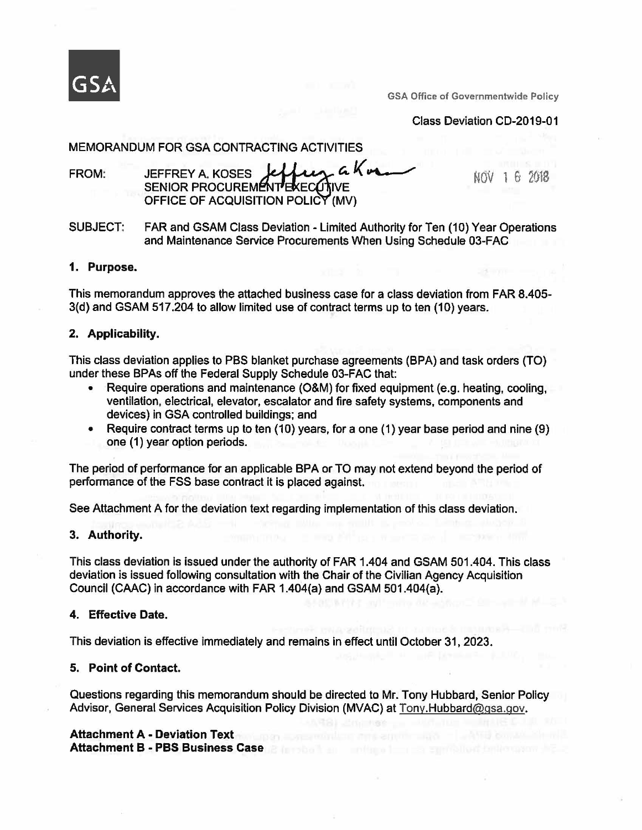

GSA Office of Governmentwide Policy

Class Deviation CD-2019-01

# MEMORANDUM FOR GSA CONTRACTING ACTIVITIES

FROM: SENIOR PROCUREM **JEFFREY A. KOSES** A CONTRACTING ACTIVITIES<br>A. KOSES **Jeffing a Kura** TIES<br>*a* Korne OFFICE OF ACQUISITION POLICY (MV)

NOV 1 6 2018

SUBJECT: FAR and GSAM Class Deviation - Limited Authority for Ten (10) Year Operations and Maintenance Service Procurements When Using Schedule 03-FAC

### **1. Purpose.**

This memorandum approves the attached business case for a class deviation from FAR 8.405- 3(d) and GSAM 517.204 to allow limited use of contract terms up to ten (10) years.

## **2. Applicability.**

This class deviation applies to PBS blanket purchase agreements (BPA) and task orders (TO) under these BPAs off the Federal Supply Schedule 03-FAC that:

- Require operations and maintenance (O&M) for fixed equipment (e.g. heating, cooling, ventilation, electrical, elevator, escalator and fire safety systems, components and devices) in GSA controlled buildings; and
- Require contract terms up to ten (10) years, for a one (1) year base period and nine (9) one (1) year option periods.

The period of performance for an applicable BPA or TO may not extend beyond the period of performance of the FSS base contract it is placed against.

See Attachment A for the deviation text regarding implementation of this class deviation.

## **3. Authority.**

This class deviation is issued under the authority of FAR 1.404 and GSAM 501.404. This class deviation is issued following consultation with the Chair of the Civilian Agency Acquisition Council (CAAC) in accordance with FAR 1.404(a) and GSAM 501.404(a).

## **4. Effective Date.**

This deviation is effective immediately and remains in effect until October 31, 2023.

## **5. Point of Contact.**

Questions regarding this memorandum should be directed to Mr. Tony Hubbard, Senior Policy Advisor, General Services Acquisition Policy Division (MVAC) at Tony.Hubbard@gsa.gov.

# **Attachment A** - **Deviation Text**

**Attachment B** - **PBS Business Case**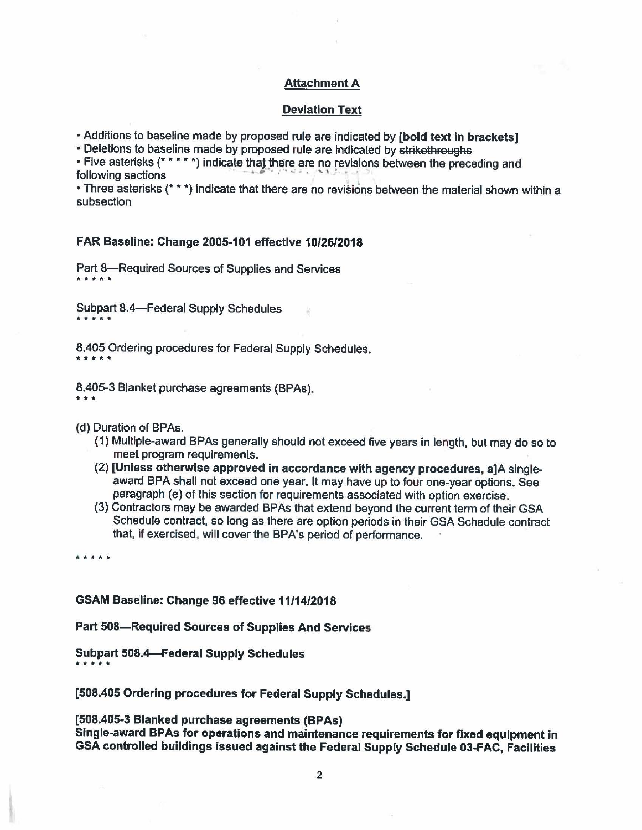# **Attachment A**

### **Deviation Text**

• Additions to baseline made by proposed rule are indicated by **[bold text** in **brackets]** 

• Deletions to baseline made by proposed rule are indicated by strikethroughs

• Five asterisks (\* \* \* \* \*) indicate that there are no revisions between the preceding and following sections

• Three asterisks(\*\*\*) indicate that there are no revisions between the material shown within a subsection

### **FAR Baseline: Change 2005-101 effective 10/26/2018**

Part 8-Required Sources of Supplies and Services \*\*\*\*\*

Subpart 8.4—Federal Supply Schedules<br>\* \* \* \* \*

8.405 Ordering procedures for Federal Supply Schedules. \*\*\*\*

8.405-3 Blanket purchase agreements (BPAs). \*\*\*

(d) Duration of BPAs.

- (1) Multiple-award BPAs generally should not exceed five years in length, but may do so to meet program requirements.
- (2) **[Unless otherwise approved in accordance with agency procedures, a]A** singleaward BPA shall not exceed one year. It may have up to four one-year options. See paragraph (e) of this section for requirements associated with option exercise.
- (3) Contractors may be awarded BPAs that extend beyond the current term of their GSA Schedule contract, so long as there are option periods in their GSA Schedule contract that, if exercised, will cover the BPA's period of performance.

.. \* • \* \*

### **GSAM Baseline: Change 96 effective 11/14/2018**

**Part SOB-Required Sources of Supplies And Services** 

**Subpart 508.4-Federal Supply Schedules**  \*\*\*\*

**[508.405 Ordering procedures for Federal Supply Schedules.]** 

**[508.405-3 Blanked purchase agreements (BPAs)** 

**Single-award BPAs for operations and maintenance requirements for fixed equipment** in **GSA controlled buildings issued against the Federal Supply Schedule 03-FAC, Facilities**